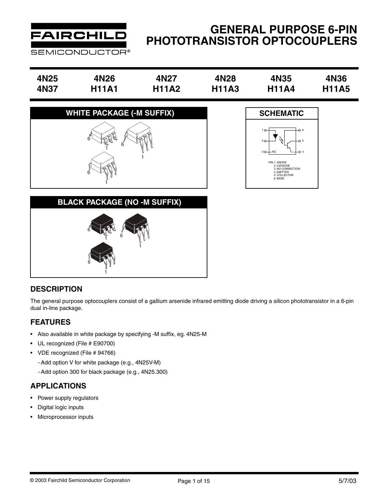

# **GENERAL PURPOSE 6-PIN PHOTOTRANSISTOR OPTOCOUPLERS**

| 4N <sub>25</sub> | 4N <sub>26</sub> | 4N27         | 4N28         | 4N35         | 4N36         |
|------------------|------------------|--------------|--------------|--------------|--------------|
| 4N37             | H11A1            | <b>H11A2</b> | <b>H11A3</b> | <b>H11A4</b> | <b>H11A5</b> |







## **DESCRIPTION**

The general purpose optocouplers consist of a gallium arsenide infrared emitting diode driving a silicon phototransistor in a 6-pin dual in-line package.

## **FEATURES**

- Also available in white package by specifying -M suffix, eg. 4N25-M
- UL recognized (File # E90700)
- VDE recognized (File # 94766)
	- Add option V for white package (e.g., 4N25V-M)
	- Add option 300 for black package (e.g., 4N25.300)

## **APPLICATIONS**

- Power supply regulators
- Digital logic inputs
- Microprocessor inputs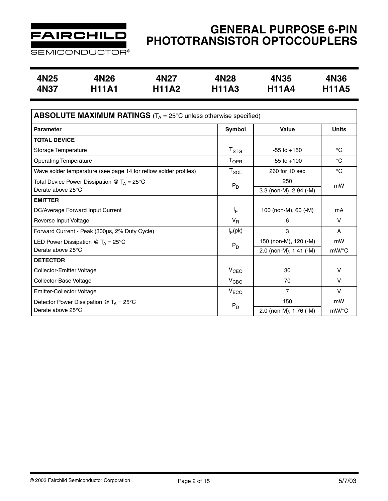

**SEMICONDUCTOR®** 

| 4N25 | 4N26         | 4N <sub>27</sub> | 4N28         | <b>4N35</b>  | 4N36         |
|------|--------------|------------------|--------------|--------------|--------------|
| 4N37 | <b>H11A1</b> | <b>H11A2</b>     | <b>H11A3</b> | <b>H11A4</b> | <b>H11A5</b> |

| <b>ABSOLUTE MAXIMUM RATINGS</b> ( $T_A = 25^\circ$ C unless otherwise specified) |                           |                        |              |  |  |  |  |  |
|----------------------------------------------------------------------------------|---------------------------|------------------------|--------------|--|--|--|--|--|
| <b>Parameter</b>                                                                 | Symbol                    | Value                  | <b>Units</b> |  |  |  |  |  |
| <b>TOTAL DEVICE</b>                                                              |                           |                        |              |  |  |  |  |  |
| Storage Temperature                                                              | $\mathsf{T}_{\text{STG}}$ | $-55$ to $+150$        | $^{\circ}C$  |  |  |  |  |  |
| <b>Operating Temperature</b>                                                     | <b>TOPR</b>               | $-55$ to $+100$        | °C           |  |  |  |  |  |
| Wave solder temperature (see page 14 for reflow solder profiles)                 | $T_{\texttt{SOL}}$        | 260 for 10 sec         | $^{\circ}C$  |  |  |  |  |  |
| Total Device Power Dissipation @ $T_A = 25^{\circ}C$                             | $P_D$                     | 250                    | mW           |  |  |  |  |  |
| Derate above 25°C                                                                |                           | 3.3 (non-M), 2.94 (-M) |              |  |  |  |  |  |
| <b>EMITTER</b>                                                                   |                           |                        |              |  |  |  |  |  |
| DC/Average Forward Input Current                                                 | l <sub>E</sub>            | 100 (non-M), 60 (-M)   | mA           |  |  |  |  |  |
| Reverse Input Voltage                                                            | $V_{R}$                   | 6                      | v            |  |  |  |  |  |
| Forward Current - Peak (300µs, 2% Duty Cycle)                                    | $I_F$ (pk)                | 3                      | A            |  |  |  |  |  |
| LED Power Dissipation @ $T_A = 25^{\circ}C$                                      | $P_D$                     | 150 (non-M), 120 (-M)  | mW           |  |  |  |  |  |
| Derate above 25°C                                                                |                           | 2.0 (non-M), 1.41 (-M) | mW/°C        |  |  |  |  |  |
| <b>DETECTOR</b>                                                                  |                           |                        |              |  |  |  |  |  |
| Collector-Emitter Voltage                                                        | V <sub>CEO</sub>          | 30                     | $\vee$       |  |  |  |  |  |
| Collector-Base Voltage                                                           | V <sub>CBO</sub>          | 70                     | $\vee$       |  |  |  |  |  |
| Emitter-Collector Voltage                                                        | V <sub>ECO</sub>          | $\overline{7}$         | $\vee$       |  |  |  |  |  |
| Detector Power Dissipation @ $T_A = 25^{\circ}C$                                 | $P_D$                     | 150                    | mW           |  |  |  |  |  |
| Derate above 25°C                                                                |                           | 2.0 (non-M), 1.76 (-M) | $mW$ /°C     |  |  |  |  |  |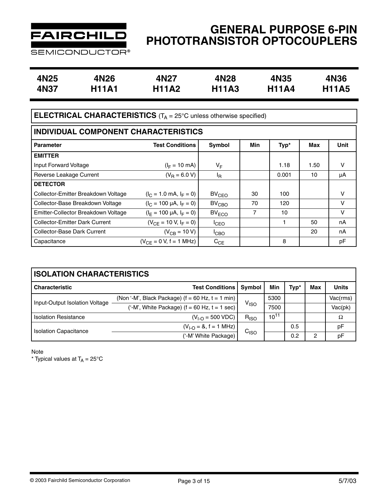

| SEMICONDUCTOR® |  |
|----------------|--|
|----------------|--|

| 4N25 | 4N26         | 4N27         | 4N28         | 4N35         | 4N36         |
|------|--------------|--------------|--------------|--------------|--------------|
| 4N37 | <b>H11A1</b> | <b>H11A2</b> | <b>H11A3</b> | <b>H11A4</b> | <b>H11A5</b> |

# **ELECTRICAL CHARACTERISTICS** (T<sub>A</sub> = 25°C unless otherwise specified)

| INDIVIDUAL COMPONENT CHARACTERISTICS  |                                   |                   |     |       |      |             |  |  |  |  |
|---------------------------------------|-----------------------------------|-------------------|-----|-------|------|-------------|--|--|--|--|
| <b>Parameter</b>                      | <b>Test Conditions</b>            | Symbol            | Min | Typ*  | Max  | <b>Unit</b> |  |  |  |  |
| <b>EMITTER</b>                        |                                   |                   |     |       |      |             |  |  |  |  |
| Input Forward Voltage                 | $(I_F = 10 \text{ mA})$           | VF                |     | 1.18  | 1.50 | v           |  |  |  |  |
| Reverse Leakage Current               | $(V_R = 6.0 V)$                   | ΙŖ.               |     | 0.001 | 10   | μA          |  |  |  |  |
| <b>DETECTOR</b>                       |                                   |                   |     |       |      |             |  |  |  |  |
| Collector-Emitter Breakdown Voltage   | $(I_C = 1.0 \text{ mA}, I_F = 0)$ | $BV_{CEO}$        | 30  | 100   |      | v           |  |  |  |  |
| Collector-Base Breakdown Voltage      | $(I_C = 100 \mu A, I_F = 0)$      | $BV_{\text{CBO}}$ | 70  | 120   |      | ν           |  |  |  |  |
| Emitter-Collector Breakdown Voltage   | $(I_F = 100 \mu A, I_F = 0)$      | BV <sub>ECO</sub> | 7   | 10    |      | v           |  |  |  |  |
| <b>Collector-Emitter Dark Current</b> | $(V_{CF} = 10 V, I_F = 0)$        | <sup>I</sup> CEO  |     | 1     | 50   | nA          |  |  |  |  |
| Collector-Base Dark Current           | $(V_{CB} = 10 V)$                 | <sup>I</sup> CBO  |     |       | 20   | nA          |  |  |  |  |
| Capacitance                           | $(V_{CF} = 0 V, f = 1 MHz)$       | $C_{CE}$          |     | 8     |      | pF          |  |  |  |  |

| <b>ISOLATION CHARACTERISTICS</b> |                                                      |                  |           |      |     |              |  |  |  |  |  |
|----------------------------------|------------------------------------------------------|------------------|-----------|------|-----|--------------|--|--|--|--|--|
| <b>Characteristic</b>            | <b>Test Conditions</b>                               | Symbol           | Min       | Typ* | Max | <b>Units</b> |  |  |  |  |  |
|                                  | (Non '-M', Black Package) $(f = 60$ Hz, $t = 1$ min) |                  | 5300      |      |     | Vac(rms)     |  |  |  |  |  |
| Input-Output Isolation Voltage   | ('-M', White Package) $(f = 60$ Hz, $t = 1$ sec)     | V <sub>ISO</sub> | 7500      |      |     | Vac(pk)      |  |  |  |  |  |
| <b>Isolation Resistance</b>      | $(V_{1-C} = 500 VDC)$                                | $R_{ISO}$        | $10^{11}$ |      |     | Ω            |  |  |  |  |  |
|                                  | $(VI-O = 8, f = 1 MHz)$                              |                  |           | 0.5  |     | pF           |  |  |  |  |  |
| <b>Isolation Capacitance</b>     | ('-M' White Package)                                 | C <sub>ISO</sub> |           | 0.2  | 2   | рF           |  |  |  |  |  |

Note

\* Typical values at  $T_A = 25^{\circ}C$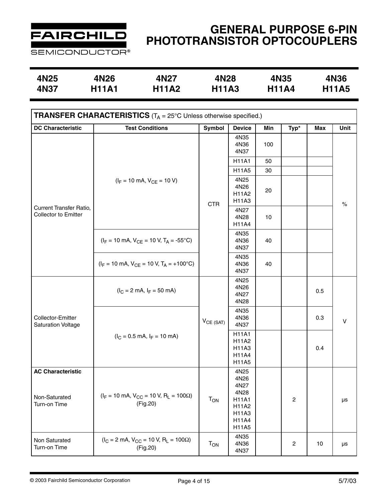

**SEMICONDUCTOR®** 

| 4N25 | 4N26         | 4N27         | 4N28         | <b>4N35</b>  | 4N36         |
|------|--------------|--------------|--------------|--------------|--------------|
| 4N37 | <b>H11A1</b> | <b>H11A2</b> | <b>H11A3</b> | <b>H11A4</b> | <b>H11A5</b> |

| <b>TRANSFER CHARACTERISTICS</b> ( $T_A = 25^\circ$ C Unless otherwise specified.) |                                                                            |                                                                                                                                                                                                                            |                                |     |                  |     |         |  |  |  |
|-----------------------------------------------------------------------------------|----------------------------------------------------------------------------|----------------------------------------------------------------------------------------------------------------------------------------------------------------------------------------------------------------------------|--------------------------------|-----|------------------|-----|---------|--|--|--|
| <b>DC Characteristic</b>                                                          | <b>Test Conditions</b>                                                     | Symbol                                                                                                                                                                                                                     | <b>Device</b>                  | Min | Typ*             | Max | Unit    |  |  |  |
|                                                                                   |                                                                            |                                                                                                                                                                                                                            | 4N35<br>4N36<br>4N37           | 100 |                  |     |         |  |  |  |
|                                                                                   |                                                                            |                                                                                                                                                                                                                            | <b>H11A1</b>                   | 50  |                  |     |         |  |  |  |
|                                                                                   |                                                                            |                                                                                                                                                                                                                            | H11A5                          | 30  |                  |     |         |  |  |  |
|                                                                                   | $(I_F = 10 \text{ mA}, V_{CE} = 10 \text{ V})$                             |                                                                                                                                                                                                                            | 4N25<br>4N26<br>H11A2<br>H11A3 | 20  |                  |     | $\%$    |  |  |  |
| <b>Current Transfer Ratio,</b><br>Collector to Emitter                            |                                                                            |                                                                                                                                                                                                                            | 4N27<br>4N28<br>H11A4          | 10  |                  |     |         |  |  |  |
|                                                                                   | $(I_F = 10 \text{ mA}, V_{CE} = 10 \text{ V}, T_A = -55^{\circ}\text{C})$  |                                                                                                                                                                                                                            | 4N35<br>4N36<br>4N37           | 40  |                  |     |         |  |  |  |
|                                                                                   | $(I_F = 10 \text{ mA}, V_{CE} = 10 \text{ V}, T_A = +100^{\circ}\text{C})$ |                                                                                                                                                                                                                            | 4N35<br>4N36<br>4N37           | 40  |                  |     |         |  |  |  |
|                                                                                   | $(I_C = 2 \text{ mA}, I_F = 50 \text{ mA})$                                |                                                                                                                                                                                                                            | 4N25<br>4N26<br>4N27<br>4N28   |     |                  | 0.5 |         |  |  |  |
| Collector-Emitter<br><b>Saturation Voltage</b>                                    |                                                                            | $V_{CE (SAT)}$                                                                                                                                                                                                             | 4N35<br>4N36<br>4N37           |     |                  | 0.3 | $\sf V$ |  |  |  |
|                                                                                   | $(I_C = 0.5 \text{ mA}, I_F = 10 \text{ mA})$                              | <b>CTR</b><br><b>H11A1</b><br>H11A2<br>H11A3<br>H11A4<br>H11A5<br>4N25<br>4N26<br>4N27<br>4N28<br>$T_{ON}$<br><b>H11A1</b><br>(Fig.20)<br>H11A2<br>H11A3<br>H11A4<br>H11A5<br>4N35<br>$T_{ON}$<br>4N36<br>(Fig.20)<br>4N37 |                                |     | 0.4              |     |         |  |  |  |
| <b>AC Characteristic</b><br>Non-Saturated<br>Turn-on Time                         | $(I_F = 10 \text{ mA}, V_{CC} = 10 \text{ V}, R_L = 100 \Omega)$           |                                                                                                                                                                                                                            |                                |     | $\boldsymbol{2}$ |     | $\mu s$ |  |  |  |
| Non Saturated<br>Turn-on Time                                                     | $(I_C = 2 \text{ mA}, V_{CC} = 10 \text{ V}, R_L = 100 \Omega)$            |                                                                                                                                                                                                                            |                                |     | $\overline{c}$   | 10  | μs      |  |  |  |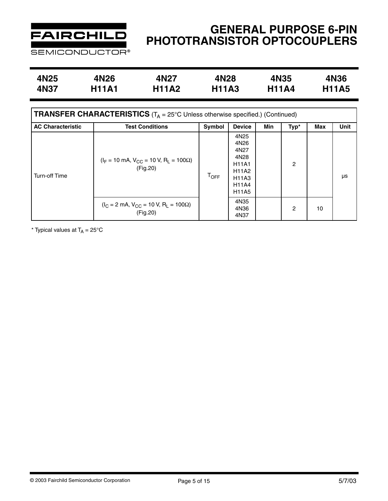

# **GENERAL PURPOSE 6-PIN PHOTOTRANSISTOR OPTOCOUPLERS**

**4N25 4N26 4N27 4N28 4N35 4N36 4N37 H11A1 H11A2 H11A3 H11A4 H11A5**

| <b>TRANSFER CHARACTERISTICS</b> ( $T_A = 25^\circ$ C Unless otherwise specified.) (Continued) |                                                                              |             |                                                                                                                                            |     |                |     |             |  |  |  |
|-----------------------------------------------------------------------------------------------|------------------------------------------------------------------------------|-------------|--------------------------------------------------------------------------------------------------------------------------------------------|-----|----------------|-----|-------------|--|--|--|
| <b>AC Characteristic</b>                                                                      | <b>Test Conditions</b>                                                       | Symbol      | <b>Device</b>                                                                                                                              | Min | Typ*           | Max | <b>Unit</b> |  |  |  |
| <b>Turn-off Time</b>                                                                          | $(I_F = 10 \text{ mA}, V_{CC} = 10 \text{ V}, R_L = 100 \Omega)$<br>(Fig.20) | <b>TOFF</b> | 4N <sub>25</sub><br>4N26<br>4N27<br>4N28<br><b>H11A1</b><br><b>H11A2</b><br>H <sub>11</sub> A <sub>3</sub><br><b>H11A4</b><br><b>H11A5</b> |     | $\overline{c}$ |     | μs          |  |  |  |
|                                                                                               | $(I_C = 2 \text{ mA}, V_{CC} = 10 \text{ V}, R_L = 100 \Omega)$<br>(Fig.20)  |             | 4N35<br>4N36<br>4N37                                                                                                                       |     | 2              | 10  |             |  |  |  |

\* Typical values at  $T_A = 25^{\circ}$ C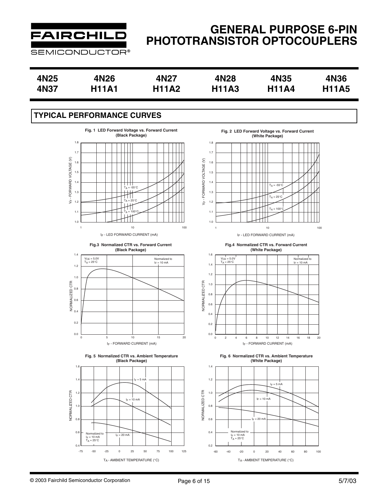

# **GENERAL PURPOSE 6-PIN PHOTOTRANSISTOR OPTOCOUPLERS**

| 4N <sub>25</sub> | 4N26         | 4N27         | 4N28         | 4N35         | 4N36         |
|------------------|--------------|--------------|--------------|--------------|--------------|
| 4N37             | <b>H11A1</b> | <b>H11A2</b> | <b>H11A3</b> | <b>H11A4</b> | <b>H11A5</b> |

## **TYPICAL PERFORMANCE CURVES**











**Fig. 2 LED Forward Voltage vs. Forward Current (White Package)**



IF - LED FORWARD CURRENT (mA)

**Fig.4 Normalized CTR vs. Forward Current (White Package)**



**Fig. 6 Normalized CTR vs. Ambient Temperature (White Package)**

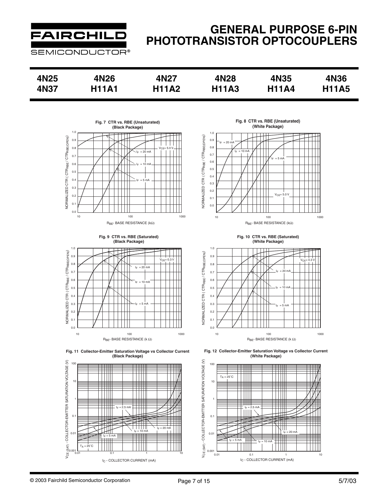

## **GENERAL PURPOSE 6-PIN PHOTOTRANSISTOR OPTOCOUPLERS**

| 4N <sub>25</sub> | 4N26         | 4N27         | 4N28         | 4N35         | 4N36         |
|------------------|--------------|--------------|--------------|--------------|--------------|
| 4N37             | <b>H11A1</b> | <b>H11A2</b> | <b>H11A3</b> | <b>H11A4</b> | <b>H11A5</b> |











**Fig. 8 CTR vs. RBE (Unsaturated) (White Package)**



**Fig. 10 CTR vs. RBE (Saturated) (White Package)**



**Fig. 12 Collector-Emitter Saturation Voltage vs Collector Current (White Package)**

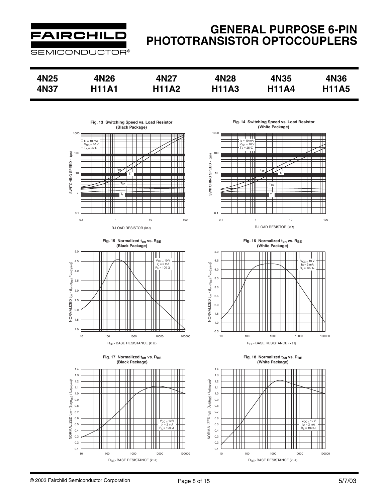

# **GENERAL PURPOSE 6-PIN PHOTOTRANSISTOR OPTOCOUPLERS**

| 4N25 | 4N26         | 4N27         | 4N28         | 4N35         | 4N36         |
|------|--------------|--------------|--------------|--------------|--------------|
| 4N37 | <b>H11A1</b> | <b>H11A2</b> | <b>H11A3</b> | <b>H11A4</b> | <b>H11A5</b> |



**Fig. 14 Switching Speed vs. Load Resistor (White Package)**



Fig. 16 Normalized t<sub>on</sub> vs. R<sub>BE</sub> **(White Package)**











© 2003 Fairchild Semiconductor Corporation Page 8 of 15

1.0 1.5 2.0 2.5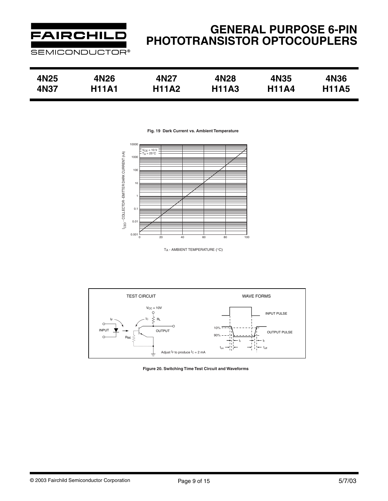

| 4N25 | 4N26         | 4N27         | 4N28         | 4N35         | 4N36         |
|------|--------------|--------------|--------------|--------------|--------------|
| 4N37 | <b>H11A1</b> | <b>H11A2</b> | <b>H11A3</b> | <b>H11A4</b> | <b>H11A5</b> |

**Fig. 19 Dark Current vs. Ambient Temperature**



TA - AMBIENT TEMPERATURE (°C)



**Figure 20. Switching Time Test Circuit and Waveforms**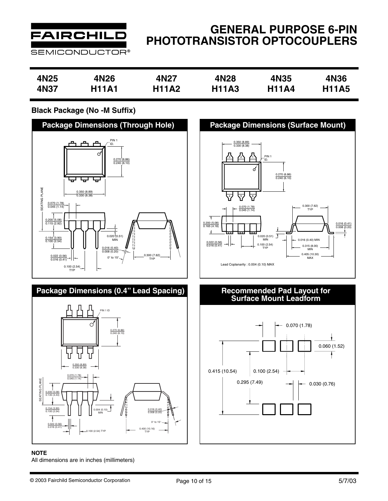

# **GENERAL PURPOSE 6-PIN PHOTOTRANSISTOR OPTOCOUPLERS**

| 4N25 | 4N26         | 4N27         | 4N28         | 4N35         | 4N36         |
|------|--------------|--------------|--------------|--------------|--------------|
| 4N37 | <b>H11A1</b> | <b>H11A2</b> | <b>H11A3</b> | <b>H11A4</b> | <b>H11A5</b> |

## **Black Package (No -M Suffix)**



## **Package Dimensions (0.4" Lead Spacing)**



#### **NOTE**

All dimensions are in inches (millimeters)



# **Recommended Pad Layout for<br>Surface Mount Leadform**

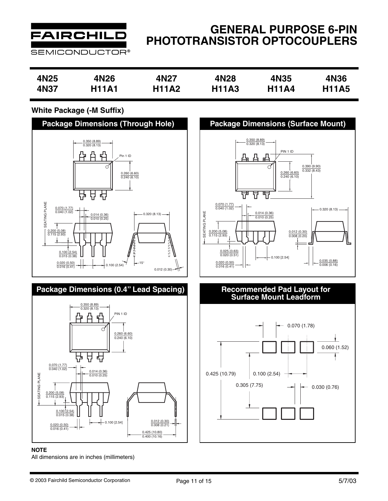

## **GENERAL PURPOSE 6-PIN PHOTOTRANSISTOR OPTOCOUPLERS**

| 4N25 | 4N <sub>26</sub> | 4N27         | 4N28         | 4N35         | 4N36         |
|------|------------------|--------------|--------------|--------------|--------------|
|      |                  |              |              |              |              |
| 4N37 | <b>H11A1</b>     | <b>H11A2</b> | <b>H11A3</b> | <b>H11A4</b> | <b>H11A5</b> |
|      |                  |              |              |              |              |

## **White Package (-M Suffix)**



#### **NOTE**

All dimensions are in inches (millimeters)



# **Recommended Pad Layout for<br>Surface Mount Leadform**

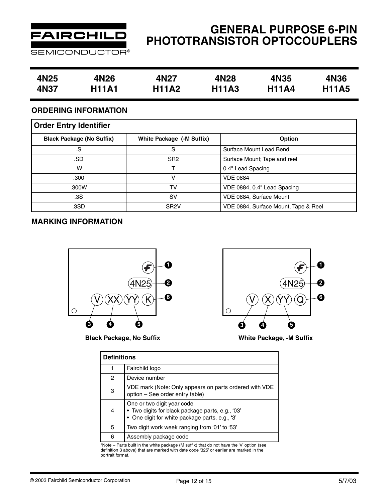

# **GENERAL PURPOSE 6-PIN PHOTOTRANSISTOR OPTOCOUPLERS**

| 4N25 | 4N26         | 4N27         | 4N28         | 4N35         | 4N36         |
|------|--------------|--------------|--------------|--------------|--------------|
| 4N37 | <b>H11A1</b> | <b>H11A2</b> | <b>H11A3</b> | <b>H11A4</b> | <b>H11A5</b> |

## **ORDERING INFORMATION**

| <b>Order Entry Identifier</b>    |                           |                                      |  |  |  |  |
|----------------------------------|---------------------------|--------------------------------------|--|--|--|--|
| <b>Black Package (No Suffix)</b> | White Package (-M Suffix) | <b>Option</b>                        |  |  |  |  |
| .S                               | S                         | Surface Mount Lead Bend              |  |  |  |  |
| .SD                              | SR <sub>2</sub>           | Surface Mount; Tape and reel         |  |  |  |  |
| .W                               |                           | 0.4" Lead Spacing                    |  |  |  |  |
| .300                             | v                         | <b>VDE 0884</b>                      |  |  |  |  |
| .300W                            | TV                        | VDE 0884, 0.4" Lead Spacing          |  |  |  |  |
| .3S                              | sv                        | VDE 0884, Surface Mount              |  |  |  |  |
| .3SD                             | SR <sub>2</sub> V         | VDE 0884, Surface Mount, Tape & Reel |  |  |  |  |

## **MARKING INFORMATION**



**Black Package, No Suffix**



**White Package, -M Suffix**

|                | <b>Definitions</b>                                                                                                               |  |  |  |  |
|----------------|----------------------------------------------------------------------------------------------------------------------------------|--|--|--|--|
|                | Fairchild logo                                                                                                                   |  |  |  |  |
| $\overline{c}$ | Device number                                                                                                                    |  |  |  |  |
| 3              | VDE mark (Note: Only appears on parts ordered with VDE<br>option - See order entry table)                                        |  |  |  |  |
| 4              | One or two digit year code<br>· Two digits for black package parts, e.g., '03'<br>• One digit for white package parts, e.g., '3' |  |  |  |  |
| 5              | Two digit work week ranging from '01' to '53'                                                                                    |  |  |  |  |
| 6              | Assembly package code                                                                                                            |  |  |  |  |

\*Note – Parts built in the white package (M suffix) that do not have the 'V' option (see definition 3 above) that are marked with date code '325' or earlier are marked in the portrait format.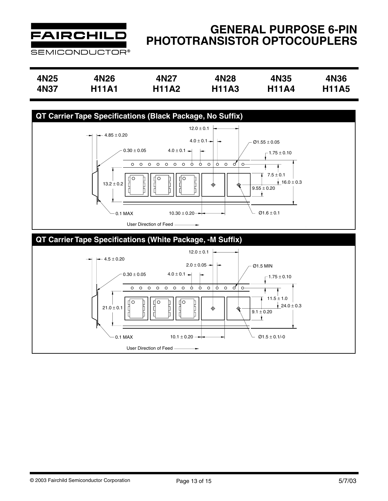

# **GENERAL PURPOSE 6-PIN PHOTOTRANSISTOR OPTOCOUPLERS**

| 4N25 | 4N26         | 4N27         | 4N28         | 4N35         | 4N36         |
|------|--------------|--------------|--------------|--------------|--------------|
| 4N37 | <b>H11A1</b> | <b>H11A2</b> | <b>H11A3</b> | <b>H11A4</b> | <b>H11A5</b> |

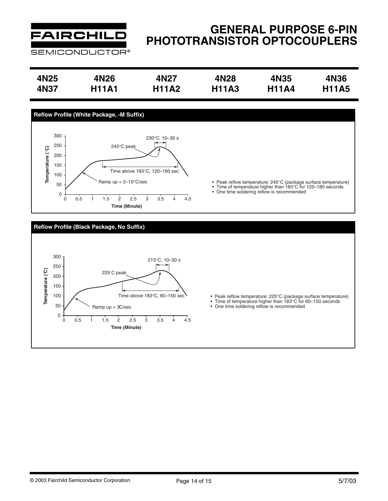

# **GENERAL PURPOSE 6-PIN PHOTOTRANSISTOR OPTOCOUPLERS**

| 4N25 | 4N26         | 4N <sub>27</sub> | 4N28         | 4N35         | 4N36         |
|------|--------------|------------------|--------------|--------------|--------------|
| 4N37 | <b>H11A1</b> | <b>H11A2</b>     | <b>H11A3</b> | <b>H11A4</b> | <b>H11A5</b> |



#### **Reflow Profile (Black Package, No Suffix)**



- 
- 
- Peak reflow temperature: 225°C (package surface temperature) Time of temperature higher than 183°C for 60–150 seconds One time soldering reflow is recommended
-